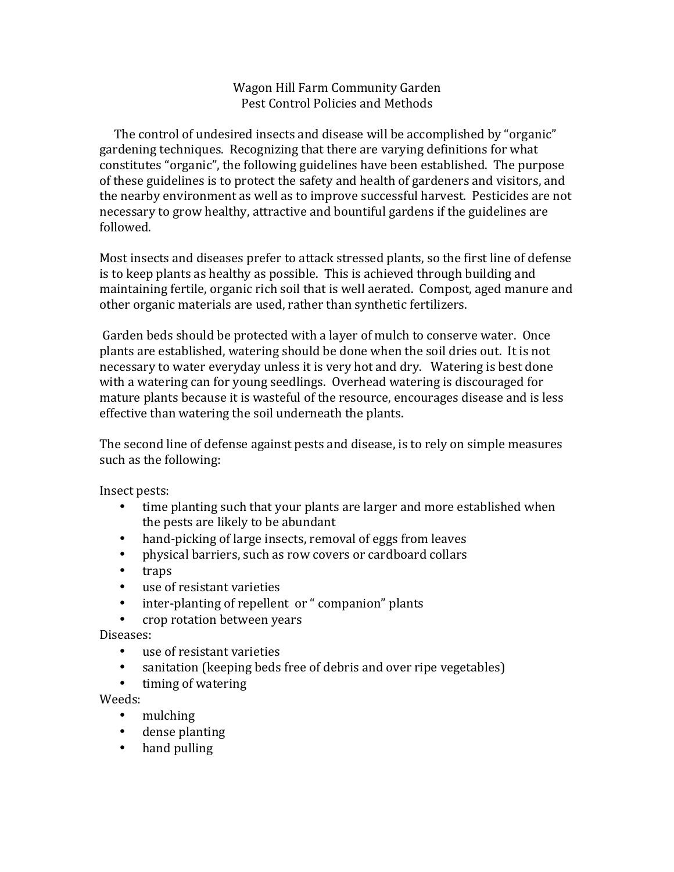## Wagon Hill Farm Community Garden Pest Control Policies and Methods

The control of undesired insects and disease will be accomplished by "organic" gardening techniques. Recognizing that there are varying definitions for what constitutes "organic", the following guidelines have been established. The purpose of these guidelines is to protect the safety and health of gardeners and visitors, and the nearby environment as well as to improve successful harvest. Pesticides are not necessary to grow healthy, attractive and bountiful gardens if the guidelines are followed. 

Most insects and diseases prefer to attack stressed plants, so the first line of defense is to keep plants as healthy as possible. This is achieved through building and maintaining fertile, organic rich soil that is well aerated. Compost, aged manure and other organic materials are used, rather than synthetic fertilizers.

Garden beds should be protected with a layer of mulch to conserve water. Once plants are established, watering should be done when the soil dries out. It is not necessary to water everyday unless it is very hot and dry. Watering is best done with a watering can for young seedlings. Overhead watering is discouraged for mature plants because it is wasteful of the resource, encourages disease and is less effective than watering the soil underneath the plants.

The second line of defense against pests and disease, is to rely on simple measures such as the following:

Insect pests:

- time planting such that your plants are larger and more established when the pests are likely to be abundant
- hand-picking of large insects, removal of eggs from leaves
- physical barriers, such as row covers or cardboard collars
- traps
- use of resistant varieties
- inter-planting of repellent or " companion" plants
- crop rotation between years

Diseases:

- use of resistant varieties
- sanitation (keeping beds free of debris and over ripe vegetables)
- timing of watering

Weeds:

- mulching
- dense planting
- $\bullet$  hand pulling